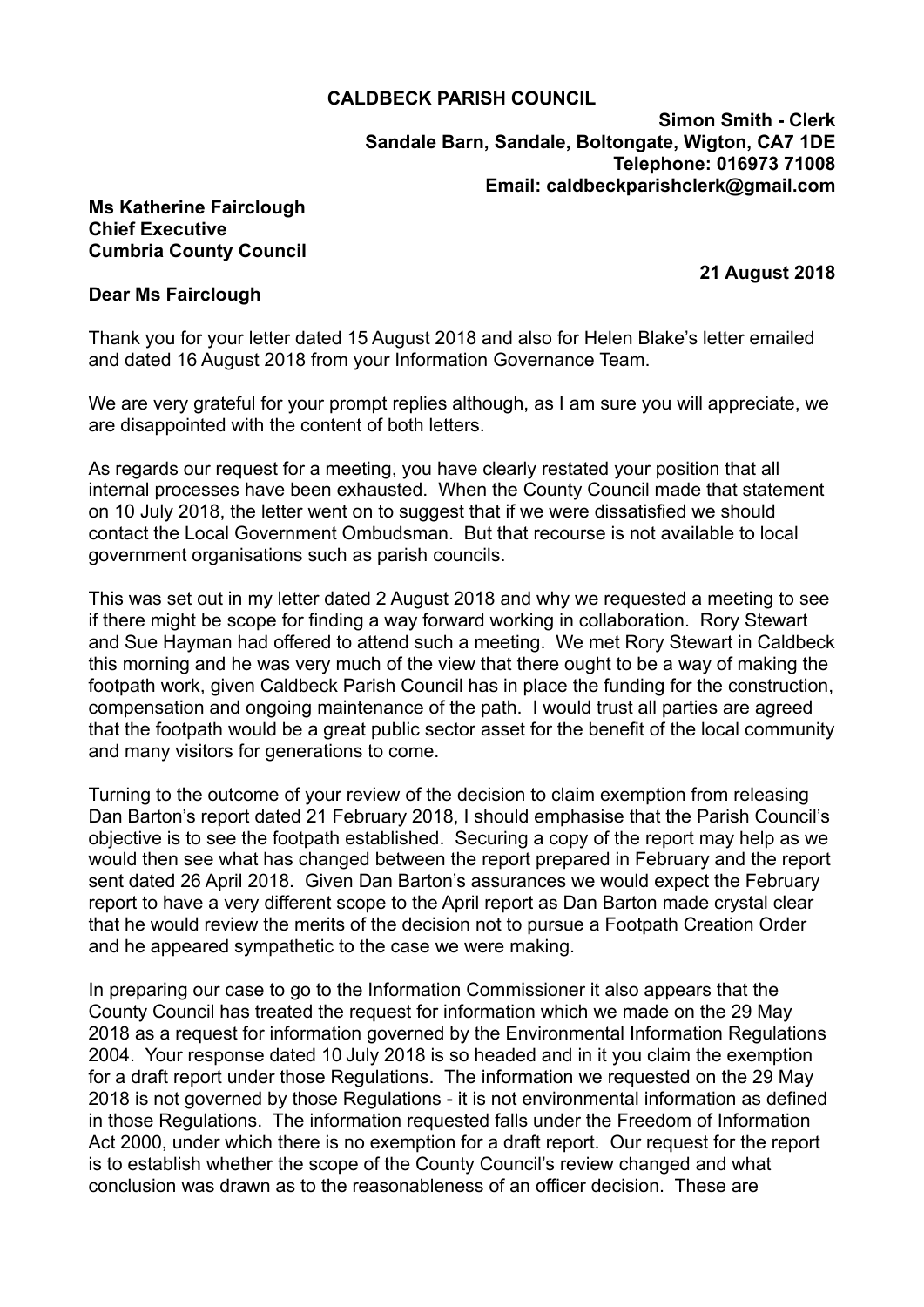## **CALDBECK PARISH COUNCIL**

**Simon Smith - Clerk Sandale Barn, Sandale, Boltongate, Wigton, CA7 1DE Telephone: 016973 71008 Email: [caldbeckparishclerk@gmail.com](mailto:caldbeckparishclerk@gmail.com)** 

## **Ms Katherine Fairclough Chief Executive Cumbria County Council**

 **21 August 2018**

## **Dear Ms Fairclough**

Thank you for your letter dated 15 August 2018 and also for Helen Blake's letter emailed and dated 16 August 2018 from your Information Governance Team.

We are very grateful for your prompt replies although, as I am sure you will appreciate, we are disappointed with the content of both letters.

As regards our request for a meeting, you have clearly restated your position that all internal processes have been exhausted. When the County Council made that statement on 10 July 2018, the letter went on to suggest that if we were dissatisfied we should contact the Local Government Ombudsman. But that recourse is not available to local government organisations such as parish councils.

This was set out in my letter dated 2 August 2018 and why we requested a meeting to see if there might be scope for finding a way forward working in collaboration. Rory Stewart and Sue Hayman had offered to attend such a meeting. We met Rory Stewart in Caldbeck this morning and he was very much of the view that there ought to be a way of making the footpath work, given Caldbeck Parish Council has in place the funding for the construction, compensation and ongoing maintenance of the path. I would trust all parties are agreed that the footpath would be a great public sector asset for the benefit of the local community and many visitors for generations to come.

Turning to the outcome of your review of the decision to claim exemption from releasing Dan Barton's report dated 21 February 2018, I should emphasise that the Parish Council's objective is to see the footpath established. Securing a copy of the report may help as we would then see what has changed between the report prepared in February and the report sent dated 26 April 2018. Given Dan Barton's assurances we would expect the February report to have a very different scope to the April report as Dan Barton made crystal clear that he would review the merits of the decision not to pursue a Footpath Creation Order and he appeared sympathetic to the case we were making.

In preparing our case to go to the Information Commissioner it also appears that the County Council has treated the request for information which we made on the 29 May 2018 as a request for information governed by the Environmental Information Regulations 2004. Your response dated 10 July 2018 is so headed and in it you claim the exemption for a draft report under those Regulations. The information we requested on the 29 May 2018 is not governed by those Regulations - it is not environmental information as defined in those Regulations. The information requested falls under the Freedom of Information Act 2000, under which there is no exemption for a draft report. Our request for the report is to establish whether the scope of the County Council's review changed and what conclusion was drawn as to the reasonableness of an officer decision. These are